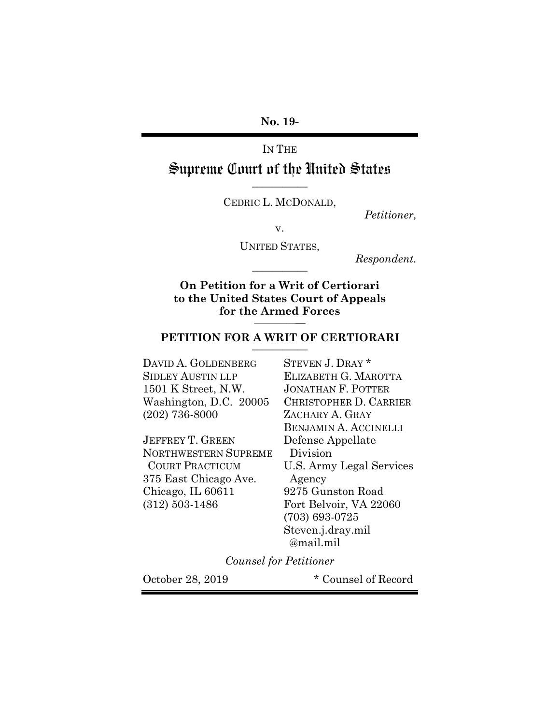**No. 19-**

IN THE

Supreme Court of the United States **\_\_\_\_\_\_\_\_\_\_\_**

CEDRIC L. MCDONALD,

*Petitioner,*

v.

UNITED STATES*,*

*Respondent.* **\_\_\_\_\_\_\_\_\_\_\_**

**On Petition for a Writ of Certiorari to the United States Court of Appeals for the Armed Forces \_\_\_\_\_\_\_\_\_\_\_**

# **PETITION FOR A WRIT OF CERTIORARI \_\_\_\_\_\_\_\_\_\_\_**

DAVID A. GOLDENBERG STEVEN J. DRAY \* SIDLEY AUSTIN LLP ELIZABETH G. MAROTTA 1501 K Street, N.W. JONATHAN F. POTTER (202) 736-8000 ZACHARY A. GRAY

JEFFREY T. GREEN Defense Appellate NORTHWESTERN SUPREME Division 375 East Chicago Ave. Agency Chicago, IL 60611 9275 Gunston Road (312) 503-1486 Fort Belvoir, VA 22060

Washington, D.C. 20005 CHRISTOPHER D. CARRIER BENJAMIN A. ACCINELLI COURT PRACTICUM U.S. Army Legal Services (703) 693-0725 Steven.j.dray.mil @mail.mil

*Counsel for Petitioner*

October 28, 2019 \* Counsel of Record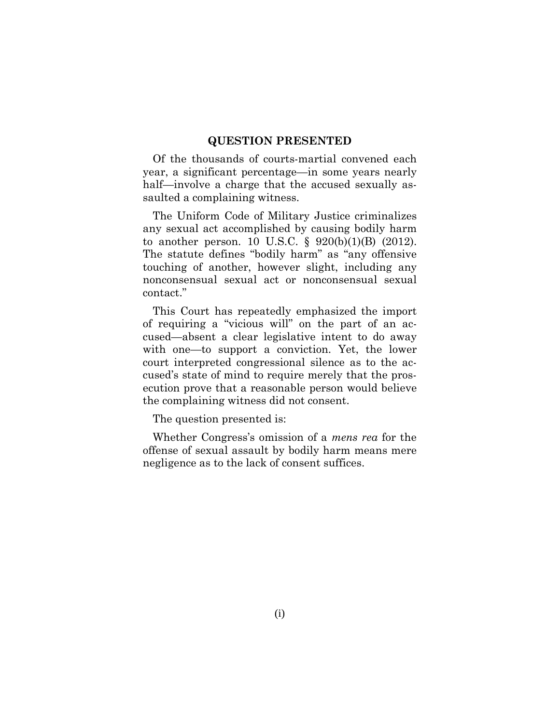### **QUESTION PRESENTED**

Of the thousands of courts-martial convened each year, a significant percentage—in some years nearly half—involve a charge that the accused sexually assaulted a complaining witness.

The Uniform Code of Military Justice criminalizes any sexual act accomplished by causing bodily harm to another person. 10 U.S.C. § 920(b)(1)(B) (2012). The statute defines "bodily harm" as "any offensive touching of another, however slight, including any nonconsensual sexual act or nonconsensual sexual contact."

This Court has repeatedly emphasized the import of requiring a "vicious will" on the part of an accused—absent a clear legislative intent to do away with one—to support a conviction. Yet, the lower court interpreted congressional silence as to the accused's state of mind to require merely that the prosecution prove that a reasonable person would believe the complaining witness did not consent.

The question presented is:

Whether Congress's omission of a *mens rea* for the offense of sexual assault by bodily harm means mere negligence as to the lack of consent suffices.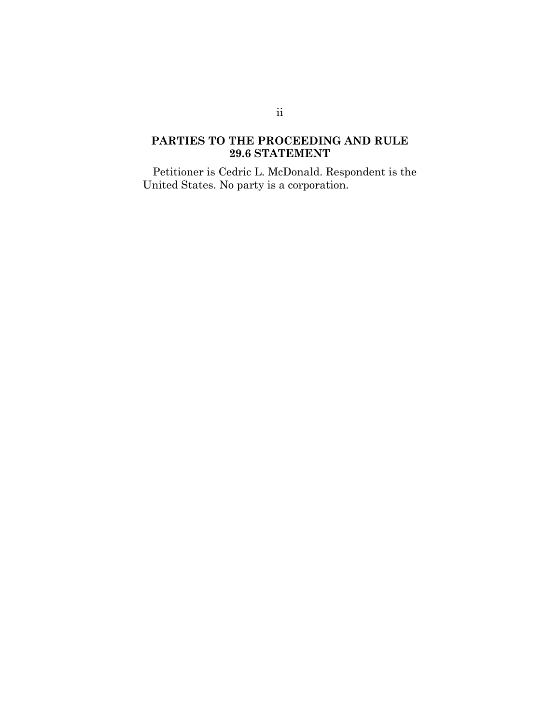# **PARTIES TO THE PROCEEDING AND RULE 29.6 STATEMENT**

Petitioner is Cedric L. McDonald. Respondent is the United States. No party is a corporation.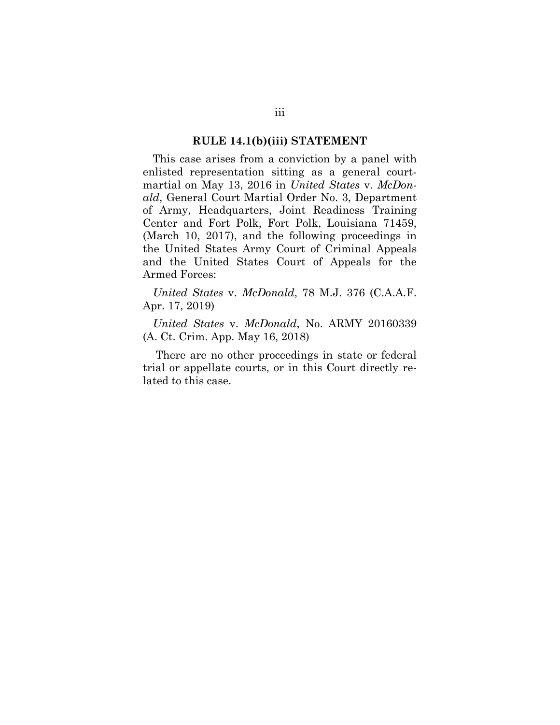#### **RULE 14.1(b)(iii) STATEMENT**

This case arises from a conviction by a panel with enlisted representation sitting as a general courtmartial on May 13, 2016 in *United States* v. *McDonald*, General Court Martial Order No. 3, Department of Army, Headquarters, Joint Readiness Training Center and Fort Polk, Fort Polk, Louisiana 71459, (March 10, 2017), and the following proceedings in the United States Army Court of Criminal Appeals and the United States Court of Appeals for the Armed Forces:

*United States* v. *McDonald*, 78 M.J. 376 (C.A.A.F. Apr. 17, 2019)

*United States* v. *McDonald*, No. ARMY 20160339 (A. Ct. Crim. App. May 16, 2018)

There are no other proceedings in state or federal trial or appellate courts, or in this Court directly related to this case.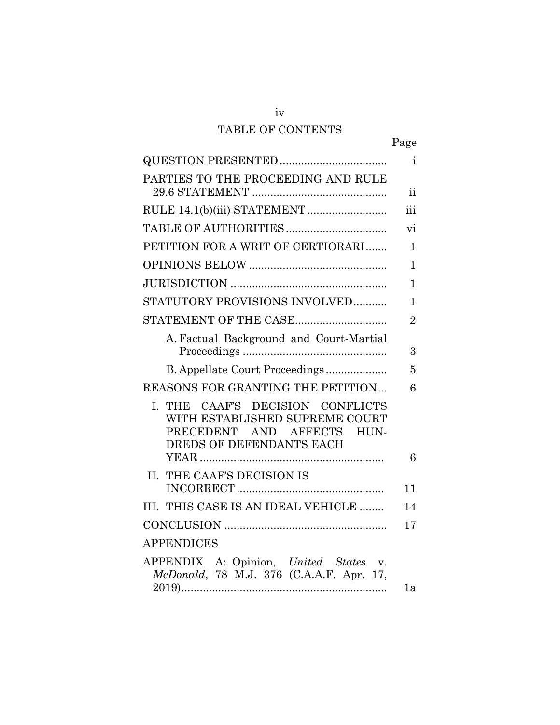# TABLE OF CONTENTS

iv

|--|

|                                                                                                                              | $\mathbf{i}$            |
|------------------------------------------------------------------------------------------------------------------------------|-------------------------|
| PARTIES TO THE PROCEEDING AND RULE                                                                                           | $\overline{\mathbf{u}}$ |
|                                                                                                                              | iii                     |
|                                                                                                                              | vi                      |
| PETITION FOR A WRIT OF CERTIORARI                                                                                            | $\mathbf{1}$            |
|                                                                                                                              | 1                       |
|                                                                                                                              | $\mathbf{1}$            |
| STATUTORY PROVISIONS INVOLVED                                                                                                | $\mathbf{1}$            |
| STATEMENT OF THE CASE                                                                                                        | $\overline{2}$          |
| A. Factual Background and Court-Martial                                                                                      |                         |
|                                                                                                                              | 3                       |
| B. Appellate Court Proceedings                                                                                               | 5                       |
| REASONS FOR GRANTING THE PETITION                                                                                            | 6                       |
| I. THE CAAF'S DECISION CONFLICTS<br>WITH ESTABLISHED SUPREME COURT<br>PRECEDENT AND AFFECTS HUN-<br>DREDS OF DEFENDANTS EACH |                         |
|                                                                                                                              | 6                       |
| II. THE CAAF'S DECISION IS                                                                                                   | 11                      |
| III. THIS CASE IS AN IDEAL VEHICLE                                                                                           | 14                      |
|                                                                                                                              | 17                      |
| <b>APPENDICES</b>                                                                                                            |                         |
| APPENDIX A: Opinion, United States v.<br>McDonald, 78 M.J. 376 (C.A.A.F. Apr. 17,                                            | 1a                      |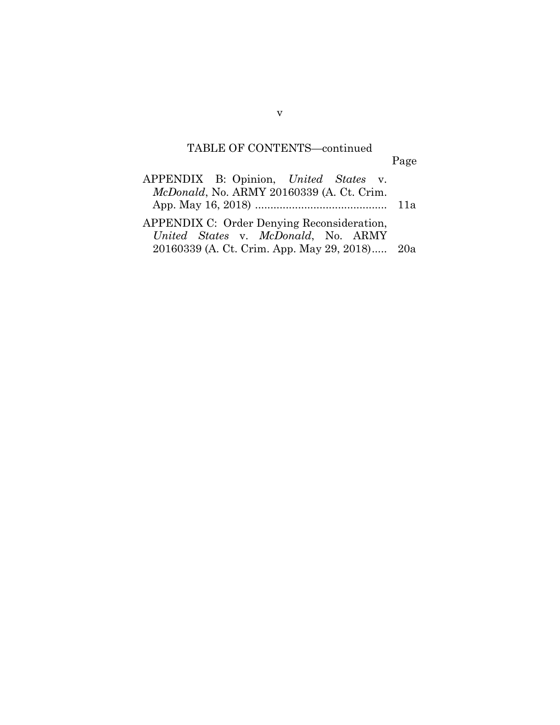# TABLE OF CONTENTS—continued

Page

| APPENDIX B: Opinion, United States v.         |  |
|-----------------------------------------------|--|
| McDonald, No. ARMY 20160339 (A. Ct. Crim.     |  |
|                                               |  |
| APPENDIX C: Order Denying Reconsideration,    |  |
| United States v. McDonald, No. ARMY           |  |
| 20160339 (A. Ct. Crim. App. May 29, 2018) 20a |  |

v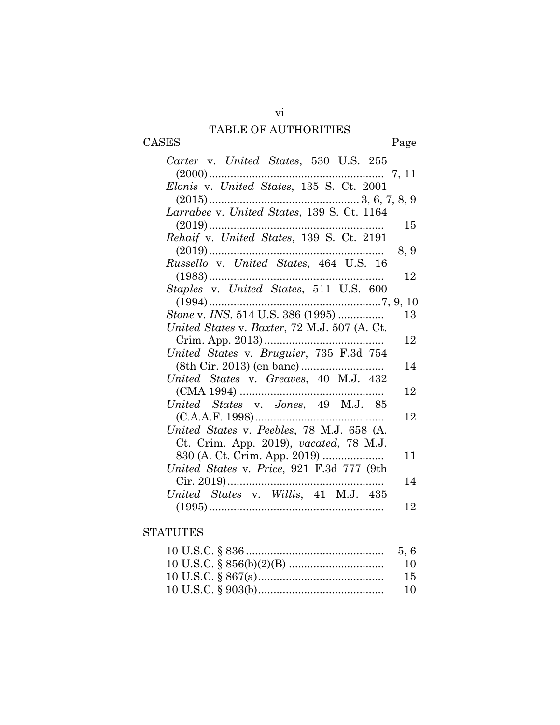# TABLE OF AUTHORITIES

CASES Page

| Carter v. United States, 530 U.S. 255        |      |
|----------------------------------------------|------|
|                                              |      |
| Elonis v. United States, 135 S. Ct. 2001     |      |
|                                              |      |
|                                              |      |
| $(2019)$                                     | 15   |
| Rehaif v. United States, 139 S. Ct. 2191     |      |
|                                              | 8, 9 |
| Russello v. United States, 464 U.S. 16       |      |
|                                              | 12   |
|                                              |      |
| $(1994)$                                     |      |
| Stone v. INS, 514 U.S. 386 (1995)            | 13   |
| United States v. Baxter, 72 M.J. 507 (A. Ct. |      |
|                                              | 12   |
| United States v. Bruguier, 735 F.3d 754      |      |
|                                              | 14   |
| United States v. Greaves, 40 M.J. 432        |      |
|                                              | 12   |
|                                              |      |
| $(C.A.A.F. 1998)$                            | 12   |
| United States v. Peebles, 78 M.J. 658 (A.    |      |
| Ct. Crim. App. 2019), vacated, 78 M.J.       |      |
| 830 (A. Ct. Crim. App. 2019)                 | 11   |
| United States v. Price, 921 F.3d 777 (9th    |      |
|                                              | 14   |
| United States v. Willis, 41 M.J. 435         |      |
|                                              | 12   |

# **STATUTES**

| 10 |
|----|
| 15 |
| 10 |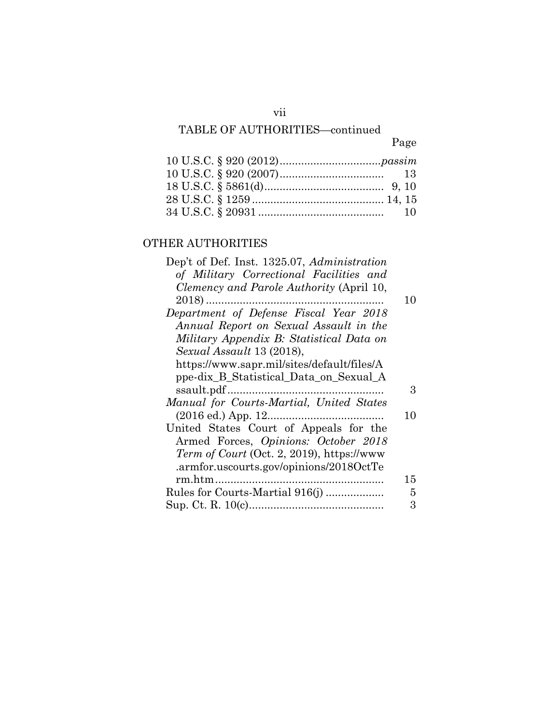# TABLE OF AUTHORITIES—continued

# Page

# OTHER AUTHORITIES

| Dep't of Def. Inst. 1325.07, Administration       |    |
|---------------------------------------------------|----|
| of Military Correctional Facilities and           |    |
| Clemency and Parole Authority (April 10,          |    |
| $2018)$                                           | 10 |
| Department of Defense Fiscal Year 2018            |    |
| Annual Report on Sexual Assault in the            |    |
| Military Appendix B: Statistical Data on          |    |
| Sexual Assault 13 (2018),                         |    |
| https://www.sapr.mil/sites/default/files/A        |    |
| ppe-dix_B_Statistical_Data_on_Sexual_A            |    |
|                                                   | 3  |
| Manual for Courts-Martial, United States          |    |
|                                                   | 10 |
| United States Court of Appeals for the            |    |
| Armed Forces, Opinions: October 2018              |    |
| <i>Term of Court</i> (Oct. 2, 2019), https://www. |    |
| .armfor.uscourts.gov/opinions/2018OctTe           |    |
|                                                   | 15 |
|                                                   | 5  |
|                                                   | 3  |
|                                                   |    |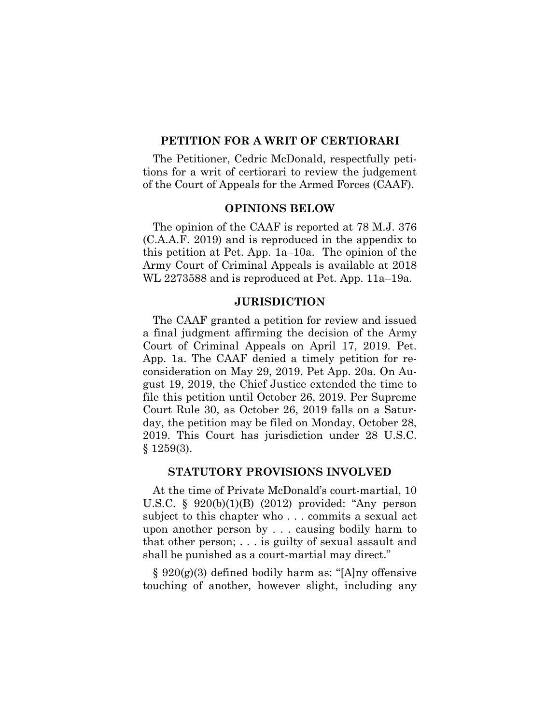## **PETITION FOR A WRIT OF CERTIORARI**

The Petitioner, Cedric McDonald, respectfully petitions for a writ of certiorari to review the judgement of the Court of Appeals for the Armed Forces (CAAF).

#### **OPINIONS BELOW**

The opinion of the CAAF is reported at 78 M.J. 376 (C.A.A.F. 2019) and is reproduced in the appendix to this petition at Pet. App. 1a–10a. The opinion of the Army Court of Criminal Appeals is available at 2018 WL 2273588 and is reproduced at Pet. App. 11a–19a.

### **JURISDICTION**

The CAAF granted a petition for review and issued a final judgment affirming the decision of the Army Court of Criminal Appeals on April 17, 2019. Pet. App. 1a. The CAAF denied a timely petition for reconsideration on May 29, 2019. Pet App. 20a. On August 19, 2019, the Chief Justice extended the time to file this petition until October 26, 2019. Per Supreme Court Rule 30, as October 26, 2019 falls on a Saturday, the petition may be filed on Monday, October 28, 2019. This Court has jurisdiction under 28 U.S.C. § 1259(3).

#### **STATUTORY PROVISIONS INVOLVED**

At the time of Private McDonald's court-martial, 10 U.S.C. § 920(b)(1)(B) (2012) provided: "Any person subject to this chapter who . . . commits a sexual act upon another person by . . . causing bodily harm to that other person; . . . is guilty of sexual assault and shall be punished as a court-martial may direct."

§ 920(g)(3) defined bodily harm as: "[A]ny offensive touching of another, however slight, including any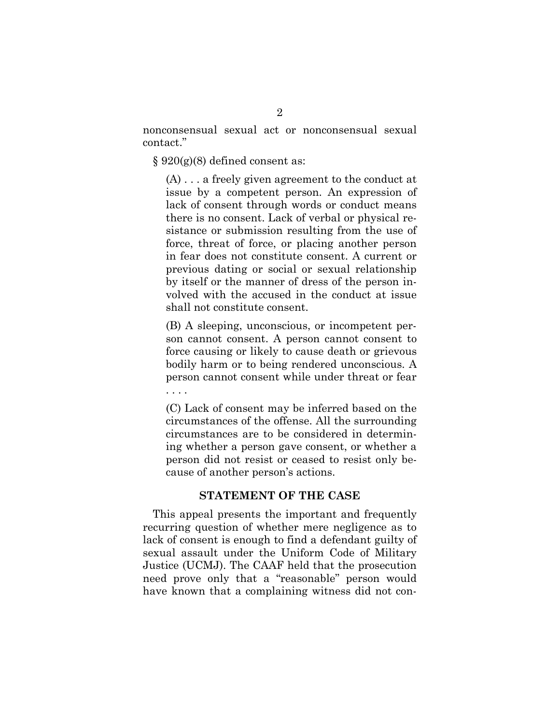nonconsensual sexual act or nonconsensual sexual contact."

 $\S 920(g)(8)$  defined consent as:

(A) . . . a freely given agreement to the conduct at issue by a competent person. An expression of lack of consent through words or conduct means there is no consent. Lack of verbal or physical resistance or submission resulting from the use of force, threat of force, or placing another person in fear does not constitute consent. A current or previous dating or social or sexual relationship by itself or the manner of dress of the person involved with the accused in the conduct at issue shall not constitute consent.

(B) A sleeping, unconscious, or incompetent person cannot consent. A person cannot consent to force causing or likely to cause death or grievous bodily harm or to being rendered unconscious. A person cannot consent while under threat or fear . . . .

(C) Lack of consent may be inferred based on the circumstances of the offense. All the surrounding circumstances are to be considered in determining whether a person gave consent, or whether a person did not resist or ceased to resist only because of another person's actions.

### **STATEMENT OF THE CASE**

This appeal presents the important and frequently recurring question of whether mere negligence as to lack of consent is enough to find a defendant guilty of sexual assault under the Uniform Code of Military Justice (UCMJ). The CAAF held that the prosecution need prove only that a "reasonable" person would have known that a complaining witness did not con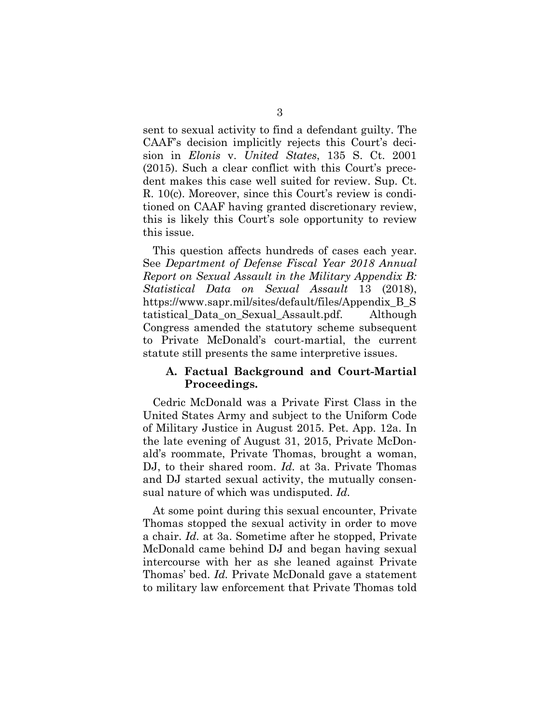sent to sexual activity to find a defendant guilty. The CAAF's decision implicitly rejects this Court's decision in *Elonis* v. *United States*, 135 S. Ct. 2001 (2015). Such a clear conflict with this Court's precedent makes this case well suited for review. Sup. Ct. R. 10(c). Moreover, since this Court's review is conditioned on CAAF having granted discretionary review, this is likely this Court's sole opportunity to review this issue.

This question affects hundreds of cases each year. See *Department of Defense Fiscal Year 2018 Annual Report on Sexual Assault in the Military Appendix B: Statistical Data on Sexual Assault* 13 (2018), https://www.sapr.mil/sites/default/files/Appendix\_B\_S tatistical\_Data\_on\_Sexual\_Assault.pdf. Although Congress amended the statutory scheme subsequent to Private McDonald's court-martial, the current statute still presents the same interpretive issues.

### **A. Factual Background and Court-Martial Proceedings.**

Cedric McDonald was a Private First Class in the United States Army and subject to the Uniform Code of Military Justice in August 2015. Pet. App. 12a. In the late evening of August 31, 2015, Private McDonald's roommate, Private Thomas, brought a woman, DJ, to their shared room. *Id.* at 3a. Private Thomas and DJ started sexual activity, the mutually consensual nature of which was undisputed. *Id.*

At some point during this sexual encounter, Private Thomas stopped the sexual activity in order to move a chair. *Id.* at 3a. Sometime after he stopped, Private McDonald came behind DJ and began having sexual intercourse with her as she leaned against Private Thomas' bed. *Id.* Private McDonald gave a statement to military law enforcement that Private Thomas told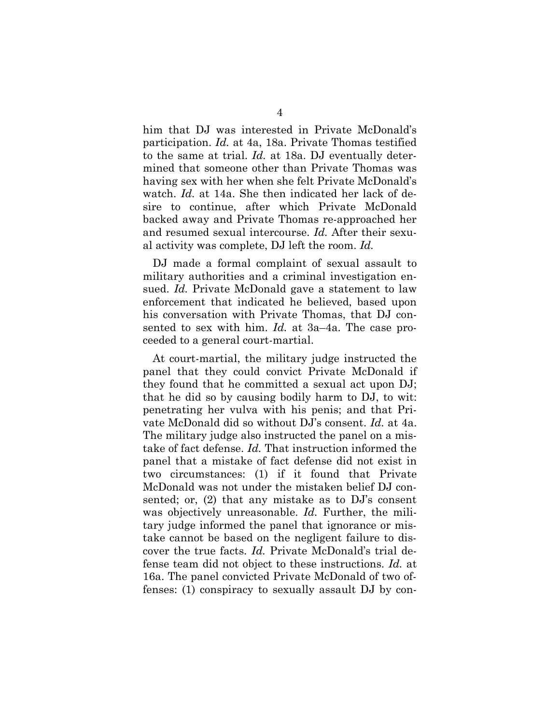him that DJ was interested in Private McDonald's participation. *Id.* at 4a, 18a. Private Thomas testified to the same at trial. *Id.* at 18a. DJ eventually determined that someone other than Private Thomas was having sex with her when she felt Private McDonald's watch. *Id.* at 14a. She then indicated her lack of desire to continue, after which Private McDonald backed away and Private Thomas re-approached her and resumed sexual intercourse. *Id.* After their sexual activity was complete, DJ left the room. *Id.*

DJ made a formal complaint of sexual assault to military authorities and a criminal investigation ensued. *Id.* Private McDonald gave a statement to law enforcement that indicated he believed, based upon his conversation with Private Thomas, that DJ consented to sex with him. *Id.* at 3a–4a. The case proceeded to a general court-martial.

At court-martial, the military judge instructed the panel that they could convict Private McDonald if they found that he committed a sexual act upon DJ; that he did so by causing bodily harm to DJ, to wit: penetrating her vulva with his penis; and that Private McDonald did so without DJ's consent. *Id.* at 4a. The military judge also instructed the panel on a mistake of fact defense. *Id.* That instruction informed the panel that a mistake of fact defense did not exist in two circumstances: (1) if it found that Private McDonald was not under the mistaken belief DJ consented; or, (2) that any mistake as to DJ's consent was objectively unreasonable. *Id.* Further, the military judge informed the panel that ignorance or mistake cannot be based on the negligent failure to discover the true facts. *Id.* Private McDonald's trial defense team did not object to these instructions. *Id.* at 16a. The panel convicted Private McDonald of two offenses: (1) conspiracy to sexually assault DJ by con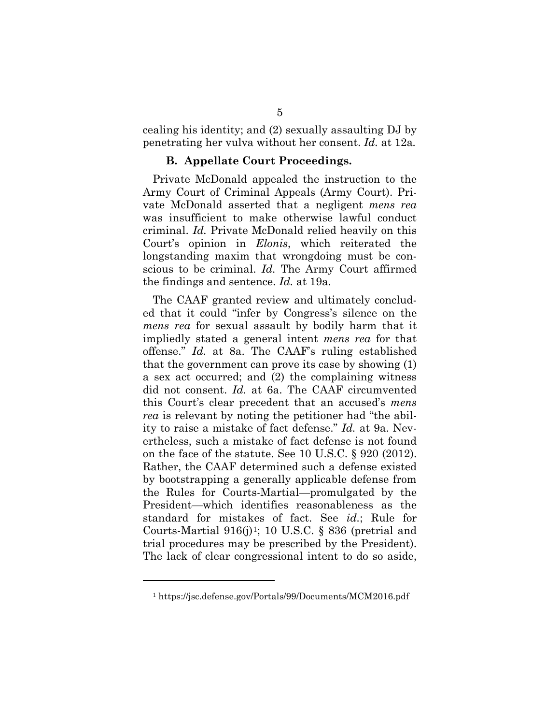cealing his identity; and (2) sexually assaulting DJ by penetrating her vulva without her consent. *Id.* at 12a*.*

#### **B. Appellate Court Proceedings.**

Private McDonald appealed the instruction to the Army Court of Criminal Appeals (Army Court). Private McDonald asserted that a negligent *mens rea* was insufficient to make otherwise lawful conduct criminal. *Id.* Private McDonald relied heavily on this Court's opinion in *Elonis*, which reiterated the longstanding maxim that wrongdoing must be conscious to be criminal. *Id.* The Army Court affirmed the findings and sentence. *Id.* at 19a.

The CAAF granted review and ultimately concluded that it could "infer by Congress's silence on the *mens rea* for sexual assault by bodily harm that it impliedly stated a general intent *mens rea* for that offense." *Id.* at 8a. The CAAF's ruling established that the government can prove its case by showing (1) a sex act occurred; and (2) the complaining witness did not consent. *Id.* at 6a. The CAAF circumvented this Court's clear precedent that an accused's *mens rea* is relevant by noting the petitioner had "the ability to raise a mistake of fact defense." *Id.* at 9a. Nevertheless, such a mistake of fact defense is not found on the face of the statute. See 10 U.S.C. § 920 (2012). Rather, the CAAF determined such a defense existed by bootstrapping a generally applicable defense from the Rules for Courts-Martial—promulgated by the President—which identifies reasonableness as the standard for mistakes of fact. See *id.*; Rule for Courts-Martial  $916(j)$ <sup>1</sup>; 10 U.S.C. § 836 (pretrial and trial procedures may be prescribed by the President). The lack of clear congressional intent to do so aside,

 $\overline{a}$ 

<sup>1</sup> https://jsc.defense.gov/Portals/99/Documents/MCM2016.pdf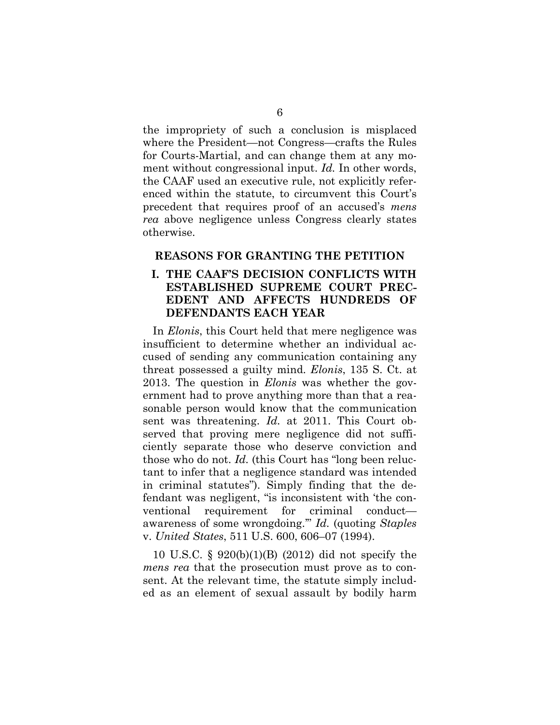the impropriety of such a conclusion is misplaced where the President—not Congress—crafts the Rules for Courts-Martial, and can change them at any moment without congressional input. *Id.* In other words, the CAAF used an executive rule, not explicitly referenced within the statute, to circumvent this Court's precedent that requires proof of an accused's *mens rea* above negligence unless Congress clearly states otherwise.

## **REASONS FOR GRANTING THE PETITION**

## **I. THE CAAF'S DECISION CONFLICTS WITH ESTABLISHED SUPREME COURT PREC-EDENT AND AFFECTS HUNDREDS OF DEFENDANTS EACH YEAR**

In *Elonis*, this Court held that mere negligence was insufficient to determine whether an individual accused of sending any communication containing any threat possessed a guilty mind. *Elonis*, 135 S. Ct. at 2013. The question in *Elonis* was whether the government had to prove anything more than that a reasonable person would know that the communication sent was threatening. *Id.* at 2011. This Court observed that proving mere negligence did not sufficiently separate those who deserve conviction and those who do not. *Id.* (this Court has "long been reluctant to infer that a negligence standard was intended in criminal statutes"). Simply finding that the defendant was negligent, "is inconsistent with 'the conventional requirement for criminal conduct awareness of some wrongdoing.'" *Id.* (quoting *Staples*  v. *United States*, 511 U.S. 600, 606–07 (1994).

10 U.S.C. § 920(b)(1)(B) (2012) did not specify the *mens rea* that the prosecution must prove as to consent. At the relevant time, the statute simply included as an element of sexual assault by bodily harm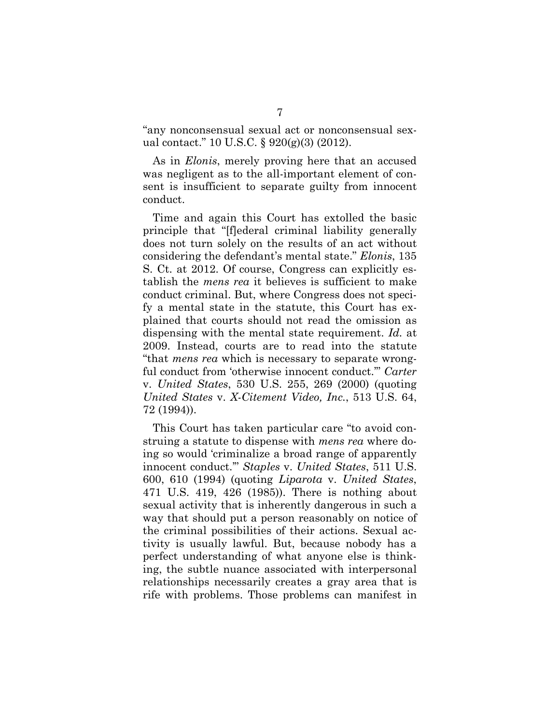"any nonconsensual sexual act or nonconsensual sexual contact." 10 U.S.C. § 920(g)(3) (2012).

As in *Elonis*, merely proving here that an accused was negligent as to the all-important element of consent is insufficient to separate guilty from innocent conduct.

Time and again this Court has extolled the basic principle that "[f]ederal criminal liability generally does not turn solely on the results of an act without considering the defendant's mental state." *Elonis*, 135 S. Ct. at 2012. Of course, Congress can explicitly establish the *mens rea* it believes is sufficient to make conduct criminal. But, where Congress does not specify a mental state in the statute, this Court has explained that courts should not read the omission as dispensing with the mental state requirement. *Id.* at 2009. Instead, courts are to read into the statute "that *mens rea* which is necessary to separate wrongful conduct from 'otherwise innocent conduct.'" *Carter*  v. *United States*, 530 U.S. 255, 269 (2000) (quoting *United States* v. *X-Citement Video, Inc.*, 513 U.S. 64, 72 (1994)).

This Court has taken particular care "to avoid construing a statute to dispense with *mens rea* where doing so would 'criminalize a broad range of apparently innocent conduct.'" *Staples* v. *United States*, 511 U.S. 600, 610 (1994) (quoting *Liparota* v. *United States*, 471 U.S. 419, 426 (1985)). There is nothing about sexual activity that is inherently dangerous in such a way that should put a person reasonably on notice of the criminal possibilities of their actions. Sexual activity is usually lawful. But, because nobody has a perfect understanding of what anyone else is thinking, the subtle nuance associated with interpersonal relationships necessarily creates a gray area that is rife with problems. Those problems can manifest in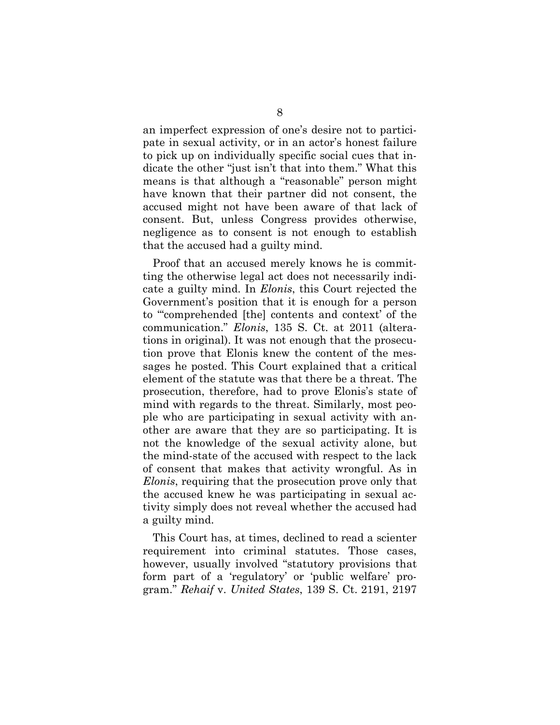an imperfect expression of one's desire not to participate in sexual activity, or in an actor's honest failure to pick up on individually specific social cues that indicate the other "just isn't that into them." What this means is that although a "reasonable" person might have known that their partner did not consent, the accused might not have been aware of that lack of consent. But, unless Congress provides otherwise, negligence as to consent is not enough to establish that the accused had a guilty mind.

Proof that an accused merely knows he is committing the otherwise legal act does not necessarily indicate a guilty mind. In *Elonis*, this Court rejected the Government's position that it is enough for a person to "'comprehended [the] contents and context' of the communication." *Elonis*, 135 S. Ct. at 2011 (alterations in original). It was not enough that the prosecution prove that Elonis knew the content of the messages he posted. This Court explained that a critical element of the statute was that there be a threat. The prosecution, therefore, had to prove Elonis's state of mind with regards to the threat. Similarly, most people who are participating in sexual activity with another are aware that they are so participating. It is not the knowledge of the sexual activity alone, but the mind-state of the accused with respect to the lack of consent that makes that activity wrongful. As in *Elonis*, requiring that the prosecution prove only that the accused knew he was participating in sexual activity simply does not reveal whether the accused had a guilty mind.

This Court has, at times, declined to read a scienter requirement into criminal statutes. Those cases, however, usually involved "statutory provisions that form part of a 'regulatory' or 'public welfare' program." *Rehaif* v. *United States*, 139 S. Ct. 2191, 2197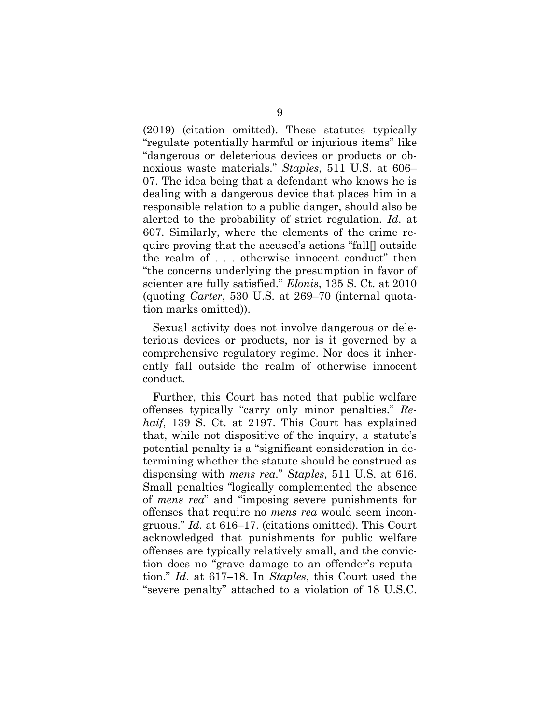(2019) (citation omitted). These statutes typically "regulate potentially harmful or injurious items" like "dangerous or deleterious devices or products or obnoxious waste materials." *Staples*, 511 U.S. at 606– 07. The idea being that a defendant who knows he is dealing with a dangerous device that places him in a responsible relation to a public danger, should also be alerted to the probability of strict regulation. *Id*. at 607. Similarly, where the elements of the crime require proving that the accused's actions "fall[] outside the realm of . . . otherwise innocent conduct" then "the concerns underlying the presumption in favor of scienter are fully satisfied." *Elonis*, 135 S. Ct. at 2010 (quoting *Carter*, 530 U.S. at 269–70 (internal quotation marks omitted)).

Sexual activity does not involve dangerous or deleterious devices or products, nor is it governed by a comprehensive regulatory regime. Nor does it inherently fall outside the realm of otherwise innocent conduct.

Further, this Court has noted that public welfare offenses typically "carry only minor penalties." *Rehaif*, 139 S. Ct. at 2197. This Court has explained that, while not dispositive of the inquiry, a statute's potential penalty is a "significant consideration in determining whether the statute should be construed as dispensing with *mens rea*." *Staples*, 511 U.S. at 616. Small penalties "logically complemented the absence of *mens rea*" and "imposing severe punishments for offenses that require no *mens rea* would seem incongruous." *Id.* at 616–17. (citations omitted). This Court acknowledged that punishments for public welfare offenses are typically relatively small, and the conviction does no "grave damage to an offender's reputation." *Id*. at 617–18. In *Staples*, this Court used the "severe penalty" attached to a violation of 18 U.S.C.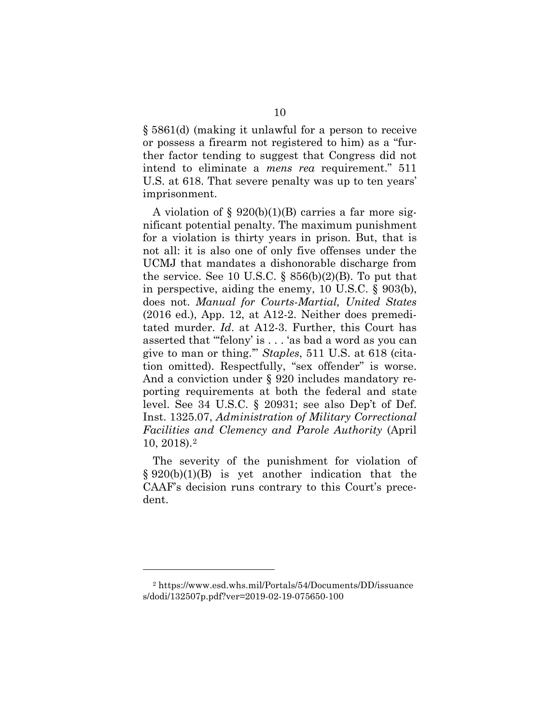§ 5861(d) (making it unlawful for a person to receive or possess a firearm not registered to him) as a "further factor tending to suggest that Congress did not intend to eliminate a *mens rea* requirement." 511 U.S. at 618. That severe penalty was up to ten years' imprisonment.

A violation of  $\S$  920(b)(1)(B) carries a far more significant potential penalty. The maximum punishment for a violation is thirty years in prison. But, that is not all: it is also one of only five offenses under the UCMJ that mandates a dishonorable discharge from the service. See 10 U.S.C.  $\S$  856(b)(2)(B). To put that in perspective, aiding the enemy, 10 U.S.C. § 903(b), does not. *Manual for Courts-Martial, United States*  (2016 ed.), App. 12, at A12-2. Neither does premeditated murder. *Id*. at A12-3. Further, this Court has asserted that "'felony' is . . . 'as bad a word as you can give to man or thing.'" *Staples*, 511 U.S. at 618 (citation omitted). Respectfully, "sex offender" is worse. And a conviction under § 920 includes mandatory reporting requirements at both the federal and state level. See 34 U.S.C. § 20931; see also Dep't of Def. Inst. 1325.07, *Administration of Military Correctional Facilities and Clemency and Parole Authority* (April 10, 2018).2

The severity of the punishment for violation of § 920(b)(1)(B) is yet another indication that the CAAF's decision runs contrary to this Court's precedent.

 $\overline{a}$ 

<sup>2</sup> https://www.esd.whs.mil/Portals/54/Documents/DD/issuance s/dodi/132507p.pdf?ver=2019-02-19-075650-100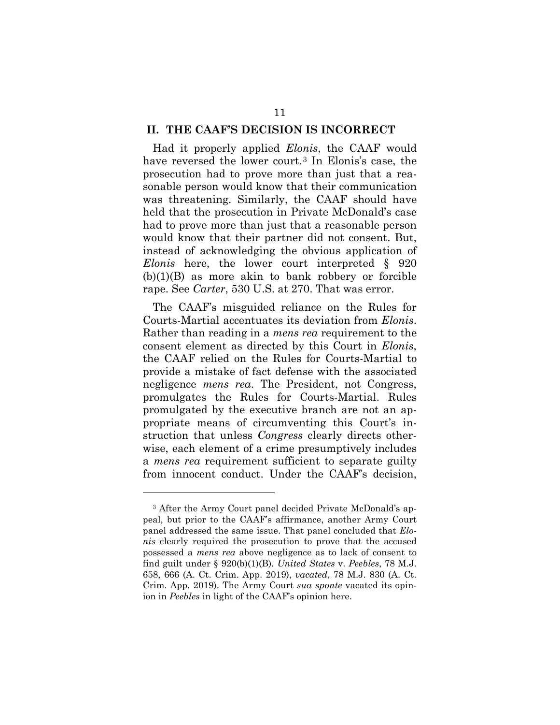#### **II. THE CAAF'S DECISION IS INCORRECT**

Had it properly applied *Elonis*, the CAAF would have reversed the lower court.3 In Elonis's case, the prosecution had to prove more than just that a reasonable person would know that their communication was threatening. Similarly, the CAAF should have held that the prosecution in Private McDonald's case had to prove more than just that a reasonable person would know that their partner did not consent. But, instead of acknowledging the obvious application of *Elonis* here, the lower court interpreted § 920  $(b)(1)(B)$  as more akin to bank robbery or forcible rape. See *Carter*, 530 U.S. at 270. That was error.

The CAAF's misguided reliance on the Rules for Courts-Martial accentuates its deviation from *Elonis*. Rather than reading in a *mens rea* requirement to the consent element as directed by this Court in *Elonis*, the CAAF relied on the Rules for Courts-Martial to provide a mistake of fact defense with the associated negligence *mens rea*. The President, not Congress, promulgates the Rules for Courts-Martial. Rules promulgated by the executive branch are not an appropriate means of circumventing this Court's instruction that unless *Congress* clearly directs otherwise, each element of a crime presumptively includes a *mens rea* requirement sufficient to separate guilty from innocent conduct. Under the CAAF's decision,

 $\overline{a}$ 

<sup>&</sup>lt;sup>3</sup> After the Army Court panel decided Private McDonald's appeal, but prior to the CAAF's affirmance, another Army Court panel addressed the same issue. That panel concluded that *Elonis* clearly required the prosecution to prove that the accused possessed a *mens rea* above negligence as to lack of consent to find guilt under § 920(b)(1)(B). *United States* v. *Peebles*, 78 M.J. 658, 666 (A. Ct. Crim. App. 2019), *vacated*, 78 M.J. 830 (A. Ct. Crim. App. 2019). The Army Court *sua sponte* vacated its opinion in *Peebles* in light of the CAAF's opinion here.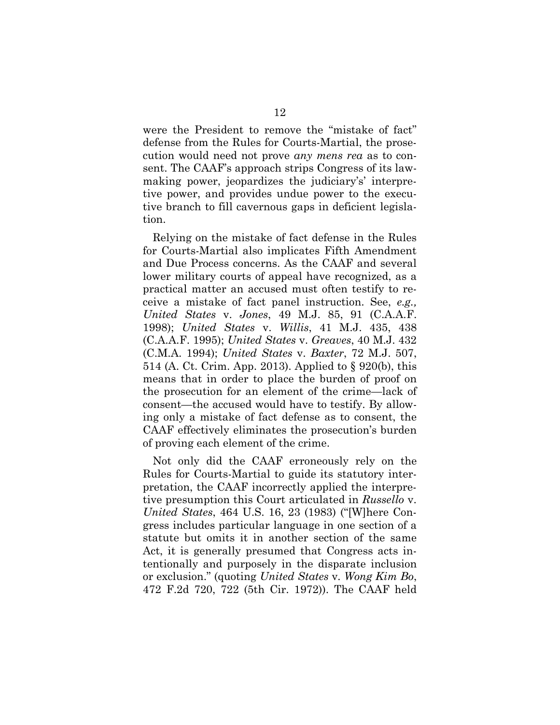were the President to remove the "mistake of fact" defense from the Rules for Courts-Martial, the prosecution would need not prove *any mens rea* as to consent. The CAAF's approach strips Congress of its lawmaking power, jeopardizes the judiciary's' interpretive power, and provides undue power to the executive branch to fill cavernous gaps in deficient legislation.

Relying on the mistake of fact defense in the Rules for Courts-Martial also implicates Fifth Amendment and Due Process concerns. As the CAAF and several lower military courts of appeal have recognized, as a practical matter an accused must often testify to receive a mistake of fact panel instruction. See, *e.g., United States* v. *Jones*, 49 M.J. 85, 91 (C.A.A.F. 1998); *United States* v. *Willis*, 41 M.J. 435, 438 (C.A.A.F. 1995); *United States* v. *Greaves*, 40 M.J. 432 (C.M.A. 1994); *United States* v. *Baxter*, 72 M.J. 507, 514 (A. Ct. Crim. App. 2013). Applied to § 920(b), this means that in order to place the burden of proof on the prosecution for an element of the crime—lack of consent—the accused would have to testify. By allowing only a mistake of fact defense as to consent, the CAAF effectively eliminates the prosecution's burden of proving each element of the crime.

Not only did the CAAF erroneously rely on the Rules for Courts-Martial to guide its statutory interpretation, the CAAF incorrectly applied the interpretive presumption this Court articulated in *Russello* v. *United States*, 464 U.S. 16, 23 (1983) ("[W]here Congress includes particular language in one section of a statute but omits it in another section of the same Act, it is generally presumed that Congress acts intentionally and purposely in the disparate inclusion or exclusion." (quoting *United States* v*. Wong Kim Bo*, 472 F.2d 720, 722 (5th Cir. 1972)). The CAAF held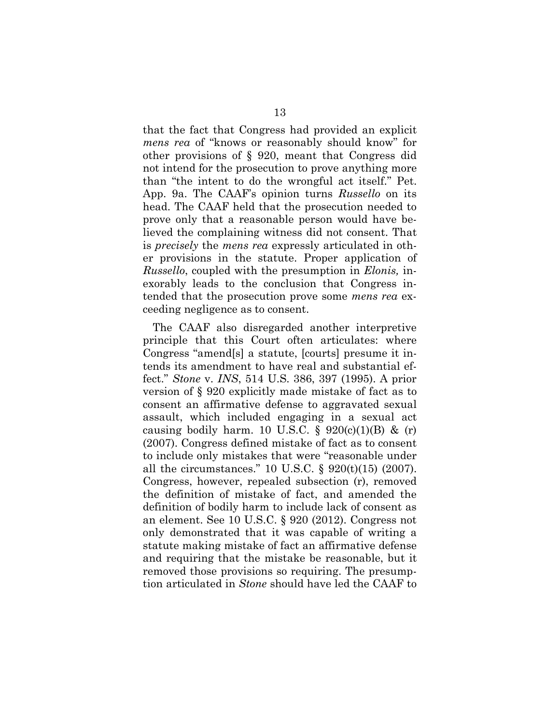that the fact that Congress had provided an explicit *mens rea* of "knows or reasonably should know" for other provisions of § 920, meant that Congress did not intend for the prosecution to prove anything more than "the intent to do the wrongful act itself." Pet. App. 9a. The CAAF's opinion turns *Russello* on its head. The CAAF held that the prosecution needed to prove only that a reasonable person would have believed the complaining witness did not consent. That is *precisely* the *mens rea* expressly articulated in other provisions in the statute. Proper application of *Russello*, coupled with the presumption in *Elonis,* inexorably leads to the conclusion that Congress intended that the prosecution prove some *mens rea* exceeding negligence as to consent.

The CAAF also disregarded another interpretive principle that this Court often articulates: where Congress "amend[s] a statute, [courts] presume it intends its amendment to have real and substantial effect." *Stone* v. *INS*, 514 U.S. 386, 397 (1995). A prior version of § 920 explicitly made mistake of fact as to consent an affirmative defense to aggravated sexual assault, which included engaging in a sexual act causing bodily harm. 10 U.S.C. §  $920(c)(1)(B)$  & (r) (2007). Congress defined mistake of fact as to consent to include only mistakes that were "reasonable under all the circumstances." 10 U.S.C. § 920(t)(15) (2007). Congress, however, repealed subsection (r), removed the definition of mistake of fact, and amended the definition of bodily harm to include lack of consent as an element. See 10 U.S.C. § 920 (2012). Congress not only demonstrated that it was capable of writing a statute making mistake of fact an affirmative defense and requiring that the mistake be reasonable, but it removed those provisions so requiring. The presumption articulated in *Stone* should have led the CAAF to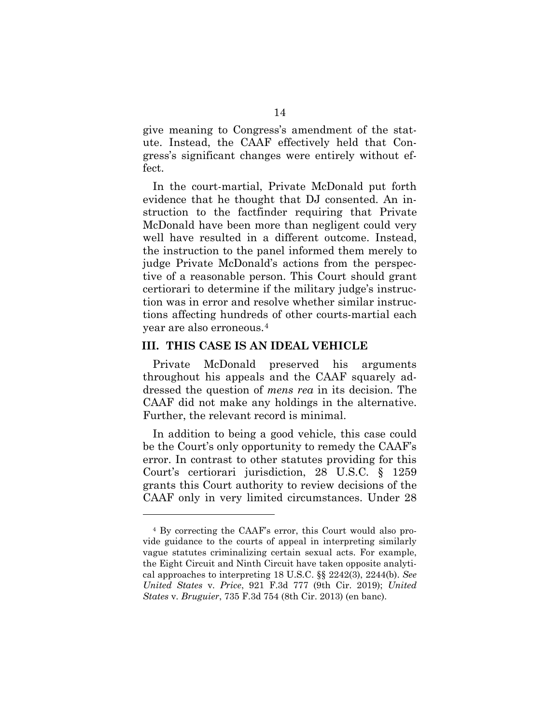give meaning to Congress's amendment of the statute. Instead, the CAAF effectively held that Congress's significant changes were entirely without effect.

In the court-martial, Private McDonald put forth evidence that he thought that DJ consented. An instruction to the factfinder requiring that Private McDonald have been more than negligent could very well have resulted in a different outcome. Instead, the instruction to the panel informed them merely to judge Private McDonald's actions from the perspective of a reasonable person. This Court should grant certiorari to determine if the military judge's instruction was in error and resolve whether similar instructions affecting hundreds of other courts-martial each year are also erroneous.4

#### **III. THIS CASE IS AN IDEAL VEHICLE**

 $\overline{a}$ 

Private McDonald preserved his arguments throughout his appeals and the CAAF squarely addressed the question of *mens rea* in its decision. The CAAF did not make any holdings in the alternative. Further, the relevant record is minimal.

In addition to being a good vehicle, this case could be the Court's only opportunity to remedy the CAAF's error. In contrast to other statutes providing for this Court's certiorari jurisdiction, 28 U.S.C. § 1259 grants this Court authority to review decisions of the CAAF only in very limited circumstances. Under 28

<sup>4</sup> By correcting the CAAF's error, this Court would also provide guidance to the courts of appeal in interpreting similarly vague statutes criminalizing certain sexual acts. For example, the Eight Circuit and Ninth Circuit have taken opposite analytical approaches to interpreting 18 U.S.C. §§ 2242(3), 2244(b). *See United States* v*. Price*, 921 F.3d 777 (9th Cir. 2019); *United States* v*. Bruguier*, 735 F.3d 754 (8th Cir. 2013) (en banc).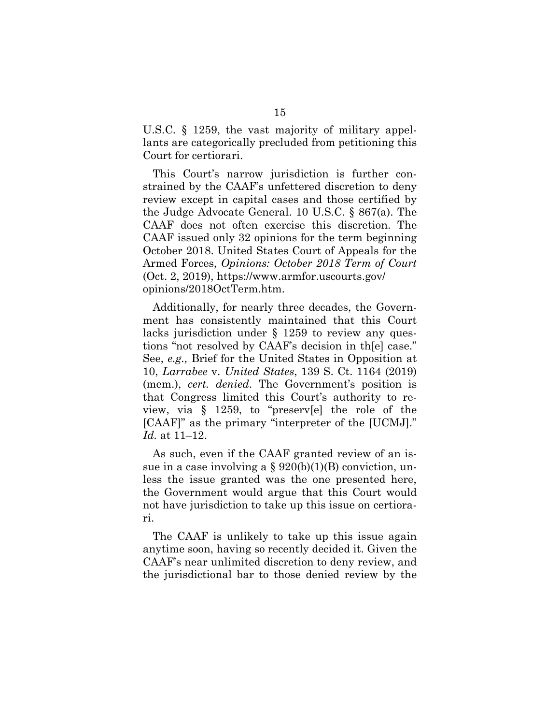U.S.C. § 1259, the vast majority of military appellants are categorically precluded from petitioning this Court for certiorari.

This Court's narrow jurisdiction is further constrained by the CAAF's unfettered discretion to deny review except in capital cases and those certified by the Judge Advocate General. 10 U.S.C. § 867(a). The CAAF does not often exercise this discretion. The CAAF issued only 32 opinions for the term beginning October 2018. United States Court of Appeals for the Armed Forces, *Opinions: October 2018 Term of Court*  (Oct. 2, 2019), https://www.armfor.uscourts.gov/ opinions/2018OctTerm.htm.

Additionally, for nearly three decades, the Government has consistently maintained that this Court lacks jurisdiction under § 1259 to review any questions "not resolved by CAAF's decision in th[e] case." See, *e.g.,* Brief for the United States in Opposition at 10, *Larrabee* v. *United States*, 139 S. Ct. 1164 (2019) (mem.), *cert. denied*. The Government's position is that Congress limited this Court's authority to review, via § 1259, to "preserv[e] the role of the [CAAF]" as the primary "interpreter of the [UCMJ]." *Id.* at 11–12.

As such, even if the CAAF granted review of an issue in a case involving a  $\S 920(b)(1)(B)$  conviction, unless the issue granted was the one presented here, the Government would argue that this Court would not have jurisdiction to take up this issue on certiorari.

The CAAF is unlikely to take up this issue again anytime soon, having so recently decided it. Given the CAAF's near unlimited discretion to deny review, and the jurisdictional bar to those denied review by the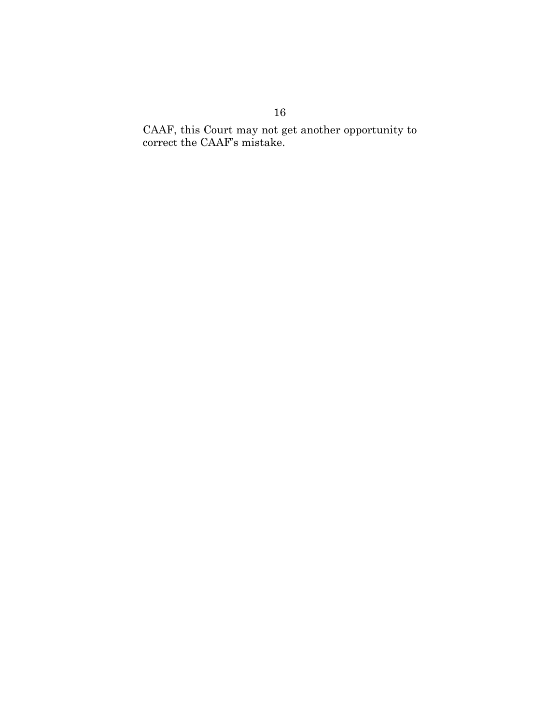CAAF, this Court may not get another opportunity to correct the CAAF's mistake.